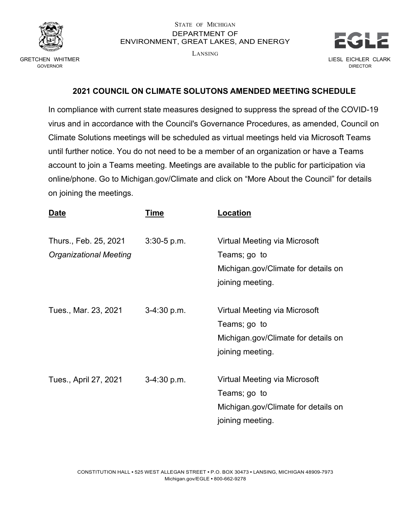

## STATE OF MICHIGAN DEPARTMENT OF ENVIRONMENT, GREAT LAKES, AND ENERGY

LANSING



## **2021 COUNCIL ON CLIMATE SOLUTONS AMENDED MEETING SCHEDULE**

In compliance with current state measures designed to suppress the spread of the COVID-19 virus and in accordance with the Council's Governance Procedures, as amended, Council on Climate Solutions meetings will be scheduled as virtual meetings held via Microsoft Teams until further notice. You do not need to be a member of an organization or have a Teams account to join a Teams meeting. Meetings are available to the public for participation via online/phone. Go to Michigan.gov/Climate and click on "More About the Council" for details on joining the meetings.

| <u>Date</u>                                            | Time          | <u>Location</u>                                                                                          |
|--------------------------------------------------------|---------------|----------------------------------------------------------------------------------------------------------|
| Thurs., Feb. 25, 2021<br><b>Organizational Meeting</b> | $3:30-5$ p.m. | Virtual Meeting via Microsoft<br>Teams; go to<br>Michigan.gov/Climate for details on<br>joining meeting. |
| Tues., Mar. 23, 2021                                   | 3-4:30 p.m.   | Virtual Meeting via Microsoft<br>Teams; go to<br>Michigan.gov/Climate for details on<br>joining meeting. |
| Tues., April 27, 2021                                  | $3-4:30 p.m.$ | Virtual Meeting via Microsoft<br>Teams; go to<br>Michigan.gov/Climate for details on<br>joining meeting. |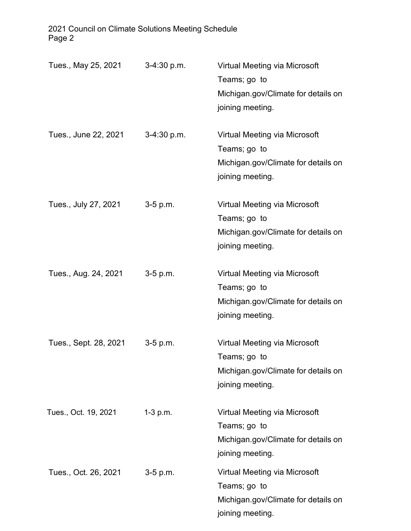2021 Council on Climate Solutions Meeting Schedule Page 2

| Tues., May 25, 2021   | $3-4:30 p.m.$ | Virtual Meeting via Microsoft<br>Teams; go to<br>Michigan.gov/Climate for details on<br>joining meeting. |
|-----------------------|---------------|----------------------------------------------------------------------------------------------------------|
| Tues., June 22, 2021  | $3-4:30 p.m.$ | Virtual Meeting via Microsoft<br>Teams; go to<br>Michigan.gov/Climate for details on<br>joining meeting. |
| Tues., July 27, 2021  | 3-5 p.m.      | Virtual Meeting via Microsoft<br>Teams; go to<br>Michigan.gov/Climate for details on<br>joining meeting. |
| Tues., Aug. 24, 2021  | 3-5 p.m.      | Virtual Meeting via Microsoft<br>Teams; go to<br>Michigan.gov/Climate for details on<br>joining meeting. |
| Tues., Sept. 28, 2021 | $3-5$ p.m.    | Virtual Meeting via Microsoft<br>Teams; go to<br>Michigan.gov/Climate for details on<br>joining meeting. |
| Tues., Oct. 19, 2021  | $1-3$ p.m.    | Virtual Meeting via Microsoft<br>Teams; go to<br>Michigan.gov/Climate for details on<br>joining meeting. |
| Tues., Oct. 26, 2021  | $3-5$ p.m.    | Virtual Meeting via Microsoft<br>Teams; go to<br>Michigan.gov/Climate for details on<br>joining meeting. |